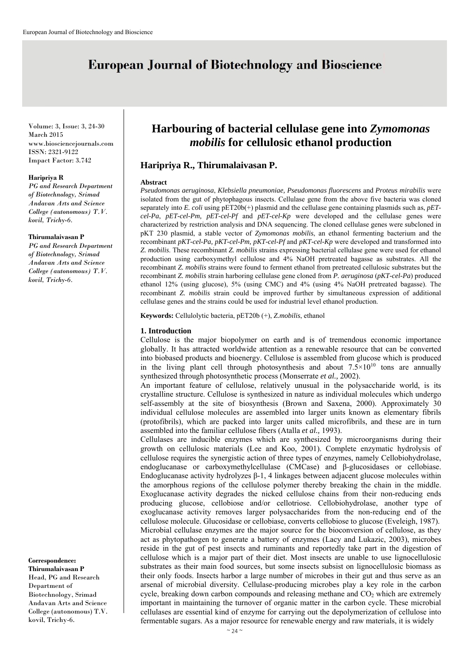# **European Journal of Biotechnology and Bioscience**

Volume: 3, Issue: 3, 24-30 March 2015 www.biosciencejournals.com ISSN: 2321-9122 Impact Factor: 3.742

#### **Haripriya R**

*PG and Research Department of Biotechnology, Srimad Andavan Arts and Science College (autonomous) T.V. kovil, Trichy-6.* 

#### **Thirumalaivasan P**

*PG and Research Department of Biotechnology, Srimad Andavan Arts and Science College (autonomous) T.V. kovil, Trichy-6.*

**Correspondence: Thirumalaivasan P** Head, PG and Research Department of Biotechnology, Srimad Andavan Arts and Science College (autonomous) T.V. kovil, Trichy-6.

## **Harbouring of bacterial cellulase gene into** *Zymomonas mobilis* **for cellulosic ethanol production**

## **Haripriya R., Thirumalaivasan P.**

#### **Abstract**

*Pseudomonas aeruginosa*, *Klebsiella pneumoniae, Pseudomonas fluorescens* and *Proteus mirabilis* were isolated from the gut of phytophagous insects. Cellulase gene from the above five bacteria was cloned separately into *E. coli* using  $pET20b(+)$  plasmid and the cellulase gene containing plasmids such as, *pETcel-Pa*, *pET-cel-Pm, pET-cel-Pf* and *pET-cel-Kp* were developed and the cellulase genes were characterized by restriction analysis and DNA sequencing. The cloned cellulase genes were subcloned in pKT 230 plasmid, a stable vector of *Zymomonas mobilis*, an ethanol fermenting bacterium and the recombinant *pKT-cel-Pa, pKT-cel-Pm, pKT-cel-Pf* and *pKT-cel-Kp* were developed and transformed into *Z. mobilis*. These recombinant *Z. mobilis* strains expressing bacterial cellulase gene were used for ethanol production using carboxymethyl cellulose and 4% NaOH pretreated bagasse as substrates. All the recombinant *Z. mobilis* strains were found to ferment ethanol from pretreated cellulosic substrates but the recombinant *Z. mobilis* strain harboring cellulase gene cloned from *P. aeruginosa* (*pKT-cel-Pa*) produced ethanol 12% (using glucose), 5% (using CMC) and 4% (using 4% NaOH pretreated bagasse). The recombinant *Z. mobilis* strain could be improved further by simultaneous expression of additional cellulase genes and the strains could be used for industrial level ethanol production.

**Keywords:** Cellulolytic bacteria, pET20b (+), *Z.mobilis*, ethanol

#### **1. Introduction**

Cellulose is the major biopolymer on earth and is of tremendous economic importance globally. It has attracted worldwide attention as a renewable resource that can be converted into biobased products and bioenergy. Cellulose is assembled from glucose which is produced in the living plant cell through photosynthesis and about  $7.5 \times 10^{10}$  tons are annually synthesized through photosynthetic process (Monserrate *et al.,* 2002).

An important feature of cellulose, relatively unusual in the polysaccharide world, is its crystalline structure. Cellulose is synthesized in nature as individual molecules which undergo self-assembly at the site of biosynthesis (Brown and Saxena, 2000). Approximately 30 individual cellulose molecules are assembled into larger units known as elementary fibrils (protofibrils), which are packed into larger units called microfibrils, and these are in turn assembled into the familiar cellulose fibers (Atalla *et al.,* 1993).

Cellulases are inducible enzymes which are synthesized by microorganisms during their growth on cellulosic materials (Lee and Koo, 2001). Complete enzymatic hydrolysis of cellulose requires the synergistic action of three types of enzymes, namely Cellobiohydrolase, endoglucanase or carboxymethylcellulase (CMCase) and β-glucosidases or cellobiase. Endoglucanase activity hydrolyzes β-1, 4 linkages between adjacent glucose molecules within the amorphous regions of the cellulose polymer thereby breaking the chain in the middle. Exoglucanase activity degrades the nicked cellulose chains from their non-reducing ends producing glucose, cellobiose and/or cellotriose. Cellobiohydrolase, another type of exoglucanase activity removes larger polysaccharides from the non-reducing end of the cellulose molecule. Glucosidase or cellobiase, converts cellobiose to glucose (Eveleigh, 1987). Microbial cellulase enzymes are the major source for the bioconversion of cellulose, as they act as phytopathogen to generate a battery of enzymes (Lacy and Lukazic, 2003), microbes reside in the gut of pest insects and ruminants and reportedly take part in the digestion of cellulose which is a major part of their diet. Most insects are unable to use lignocellulosic substrates as their main food sources, but some insects subsist on lignocellulosic biomass as their only foods. Insects harbor a large number of microbes in their gut and thus serve as an arsenal of microbial diversity. Cellulase-producing microbes play a key role in the carbon cycle, breaking down carbon compounds and releasing methane and  $CO<sub>2</sub>$  which are extremely important in maintaining the turnover of organic matter in the carbon cycle. These microbial cellulases are essential kind of enzyme for carrying out the depolymerization of cellulose into fermentable sugars. As a major resource for renewable energy and raw materials, it is widely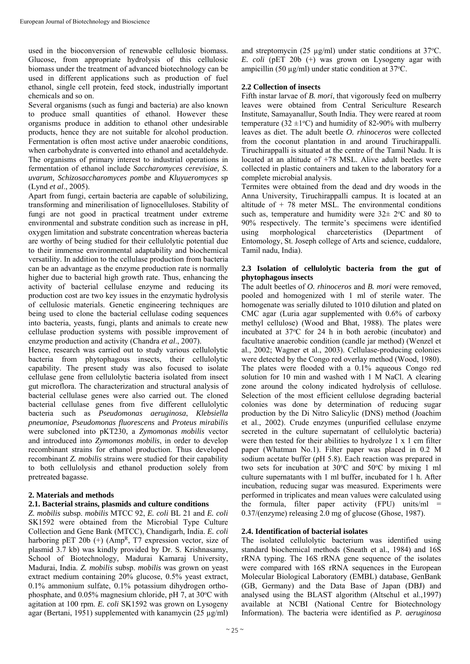used in the bioconversion of renewable cellulosic biomass. Glucose, from appropriate hydrolysis of this cellulosic biomass under the treatment of advanced biotechnology can be used in different applications such as production of fuel ethanol, single cell protein, feed stock, industrially important chemicals and so on.

Several organisms (such as fungi and bacteria) are also known to produce small quantities of ethanol. However these organisms produce in addition to ethanol other undesirable products, hence they are not suitable for alcohol production. Fermentation is often most active under anaerobic conditions, when carbohydrate is converted into ethanol and acetaldehyde. The organisms of primary interest to industrial operations in fermentation of ethanol include *Saccharomyces cerevisiae, S. uvarum, Schizosaccharomyces pombe* and *Kluyueromyces* sp (Lynd *et al*., 2005).

Apart from fungi, certain bacteria are capable of solubilizing, transforming and minerilisation of lignocelluloses. Stability of fungi are not good in practical treatment under extreme environmental and substrate condition such as increase in pH, oxygen limitation and substrate concentration whereas bacteria are worthy of being studied for their cellulolytic potential due to their immense environmental adaptability and biochemical versatility. In addition to the cellulase production from bacteria can be an advantage as the enzyme production rate is normally higher due to bacterial high growth rate. Thus, enhancing the activity of bacterial cellulase enzyme and reducing its production cost are two key issues in the enzymatic hydrolysis of cellulosic materials. Genetic engineering techniques are being used to clone the bacterial cellulase coding sequences into bacteria, yeasts, fungi, plants and animals to create new cellulase production systems with possible improvement of enzyme production and activity (Chandra *et al*., 2007).

Hence, research was carried out to study various cellulolytic bacteria from phytophagous insects, their cellulolytic capability. The present study was also focused to isolate cellulase gene from cellulolytic bacteria isolated from insect gut microflora. The characterization and structural analysis of bacterial cellulase genes were also carried out. The cloned bacterial cellulase genes from five different cellulolytic bacteria such as *Pseudomonas aeruginosa*, *Klebsiella pneumoniae, Pseudomonas fluorescens* and *Proteus mirabilis* were subcloned into pKT230, a *Zymomonas mobilis* vector and introduced into *Zymomonas mobilis*, in order to develop recombinant strains for ethanol production. Thus developed recombinant *Z. mobilis* strains were studied for their capability to both cellulolysis and ethanol production solely from pretreated bagasse.

## **2. Materials and methods**

#### **2.1. Bacterial strains, plasmids and culture conditions**

*Z. mobilis* subsp. *mobilis* MTCC 92, *E. coli* BL 21 and *E. coli* SK1592 were obtained from the Microbial Type Culture Collection and Gene Bank (MTCC), Chandigarh, India. *E. coli* harboring pET 20b  $(+)$  (Amp<sup>R</sup>, T7 expression vector, size of plasmid 3.7 kb) was kindly provided by Dr. S. Krishnasamy, School of Biotechnology, Madurai Kamaraj University, Madurai, India. *Z. mobilis* subsp. *mobilis* was grown on yeast extract medium containing 20% glucose, 0.5% yeast extract, 0.1% ammonium sulfate, 0.1% potassium dihydrogen orthophosphate, and 0.05% magnesium chloride, pH 7, at 30°C with agitation at 100 rpm. *E. coli* SK1592 was grown on Lysogeny agar (Bertani, 1951) supplemented with kanamycin (25 µg/ml)

and streptomycin (25  $\mu$ g/ml) under static conditions at 37°C. *E. coli* (pET 20b (+) was grown on Lysogeny agar with ampicillin (50  $\mu$ g/ml) under static condition at 37°C.

#### **2.2 Collection of insects**

Fifth instar larvae of *B. mori*, that vigorously feed on mulberry leaves were obtained from Central Sericulture Research Institute, Samayanallur, South India. They were reared at room temperature (32  $\pm$ 1°C) and humidity of 82-90% with mulberry leaves as diet. The adult beetle *O. rhinoceros* were collected from the coconut plantation in and around Tiruchirappalli. Tiruchirappalli is situated at the centre of the Tamil Nadu. It is located at an altitude of +78 MSL. Alive adult beetles were collected in plastic containers and taken to the laboratory for a complete microbial analysis.

Termites were obtained from the dead and dry woods in the Anna University, Tiruchirappalli campus. It is located at an altitude of  $+ 78$  meter MSL. The environmental conditions such as, temperature and humidity were  $32 \pm 2$ °C and 80 to 90% respectively. The termite's specimens were identified using morphological charceteristics (Department of Entomology, St. Joseph college of Arts and science, cuddalore, Tamil nadu, India).

#### **2.3 Isolation of cellulolytic bacteria from the gut of phytophagous insects**

The adult beetles of *O. rhinoceros* and *B. mori* were removed, pooled and homogenized with 1 ml of sterile water. The homogenate was serially diluted to 1010 dilution and plated on CMC agar (Luria agar supplemented with 0.6% of carboxy methyl cellulose) (Wood and Bhat, 1988). The plates were incubated at 37°C for 24 h in both aerobic (incubator) and facultative anaerobic condition (candle jar method) (Wenzel et al., 2002; Wagner et al., 2003). Cellulase-producing colonies were detected by the Congo red overlay method (Wood, 1980). The plates were flooded with a 0.1% aqueous Congo red solution for 10 min and washed with 1 M NaCl. A clearing zone around the colony indicated hydrolysis of cellulose. Selection of the most efficient cellulose degrading bacterial colonies was done by determination of reducing sugar production by the Di Nitro Salicylic (DNS) method (Joachim et al., 2002). Crude enzymes (unpurified cellulase enzyme secreted in the culture supernatant of cellulolytic bacteria) were then tested for their abilities to hydrolyze 1 x 1 cm filter paper (Whatman No.1). Filter paper was placed in 0.2 M sodium acetate buffer (pH 5.8). Each reaction was prepared in two sets for incubation at  $30^{\circ}$ C and  $50^{\circ}$ C by mixing 1 ml culture supernatants with 1 ml buffer, incubated for 1 h. After incubation, reducing sugar was measured. Experiments were performed in triplicates and mean values were calculated using the formula, filter paper activity  $(FPU)$  units/ml = 0.37/(enzyme) releasing 2.0 mg of glucose (Ghose, 1987).

#### **2.4. Identification of bacterial isolates**

The isolated cellulolytic bacterium was identified using standard biochemical methods (Sneath et al., 1984) and 16S rRNA typing. The 16S rRNA gene sequence of the isolates were compared with 16S rRNA sequences in the European Molecular Biological Laboratory (EMBL) database, GenBank (GB, Germany) and the Data Base of Japan (DBJ) and analysed using the BLAST algorithm (Altschul et al.,1997) available at NCBI (National Centre for Biotechnology Information). The bacteria were identified as *P. aeruginosa*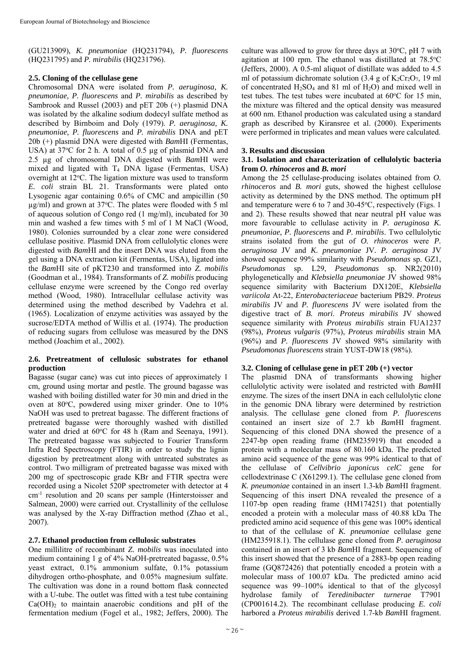(GU213909)*, K. pneumoniae* (HQ231794)*, P. fluorescens* (HQ231795) and *P. mirabilis* (HQ231796).

#### **2.5. Cloning of the cellulase gene**

Chromosomal DNA were isolated from *P. aeruginosa, K. pneumoniae, P. fluorescens* and *P. mirabilis* as described by Sambrook and Russel (2003) and pET 20b (+) plasmid DNA was isolated by the alkaline sodium dodecyl sulfate method as described by Birnboim and Doly (1979). *P. aeruginosa, K. pneumoniae, P. fluorescens* and *P. mirabilis* DNA and pET 20b (+) plasmid DNA were digested with *Bam*HI (Fermentas, USA) at 37°C for 2 h. A total of 0.5 µg of plasmid DNA and 2.5 µg of chromosomal DNA digested with *Bam*HI were mixed and ligated with  $T_4$  DNA ligase (Fermentas, USA) overnight at 12°C. The ligation mixture was used to transform *E. coli* strain BL 21. Transformants were plated onto Lysogenic agar containing 0.6% of CMC and ampicillin (50 µg/ml) and grown at 37°C. The plates were flooded with 5 ml of aqueous solution of Congo red (1 mg/ml), incubated for 30 min and washed a few times with 5 ml of 1 M NaCl (Wood, 1980). Colonies surrounded by a clear zone were considered cellulase positive. Plasmid DNA from cellulolytic clones were digested with *Bam*HI and the insert DNA was eluted from the gel using a DNA extraction kit (Fermentas, USA), ligated into the *Bam*HI site of pKT230 and transformed into *Z. mobilis* (Goodman et al., 1984). Transformants of *Z. mobilis* producing cellulase enzyme were screened by the Congo red overlay method (Wood, 1980). Intracellular cellulase activity was determined using the method described by Vadehra et al. (1965). Localization of enzyme activities was assayed by the sucrose/EDTA method of Willis et al. (1974). The production of reducing sugars from cellulose was measured by the DNS method (Joachim et al., 2002).

#### **2.6. Pretreatment of cellulosic substrates for ethanol production**

Bagasse (sugar cane) was cut into pieces of approximately 1 cm, ground using mortar and pestle. The ground bagasse was washed with boiling distilled water for 30 min and dried in the oven at 80°C, powdered using mixer grinder. One to 10% NaOH was used to pretreat bagasse. The different fractions of pretreated bagasse were thoroughly washed with distilled water and dried at 60°C for 48 h (Ram and Seenaya, 1991). The pretreated bagasse was subjected to Fourier Transform Infra Red Spectroscopy (FTIR) in order to study the lignin digestion by pretreatment along with untreated substrates as control. Two milligram of pretreated bagasse was mixed with 200 mg of spectroscopic grade KBr and FTIR spectra were recorded using a Nicolet 520P spectrometer with detector at 4 cm-1 resolution and 20 scans per sample (Hinterstoisser and Salmean, 2000) were carried out. Crystallinity of the cellulose was analysed by the X-ray Diffraction method (Zhao et al., 2007).

#### **2.7. Ethanol production from cellulosic substrates**

One millilitre of recombinant *Z. mobilis* was inoculated into medium containing 1 g of 4% NaOH-pretreated bagasse, 0.5% yeast extract, 0.1% ammonium sulfate, 0.1% potassium dihydrogen ortho-phosphate, and 0.05% magnesium sulfate. The cultivation was done in a round bottom flask connected with a U-tube. The outlet was fitted with a test tube containing  $Ca(OH)_2$  to maintain anaerobic conditions and pH of the fermentation medium (Fogel et al., 1982; Jeffers, 2000). The

culture was allowed to grow for three days at  $30^{\circ}$ C, pH 7 with agitation at 100 rpm. The ethanol was distillated at 78.5°C (Jeffers, 2000). A 0.5-ml aliquot of distillate was added to 4.5 ml of potassium dichromate solution  $(3.4 \text{ g of K}_2$ Cr<sub>2</sub>O<sub>7</sub>, 19 ml of concentrated  $H_2SO_4$  and 81 ml of  $H_2O$ ) and mixed well in test tubes. The test tubes were incubated at  $60^{\circ}$ C for 15 min, the mixture was filtered and the optical density was measured at 600 nm. Ethanol production was calculated using a standard graph as described by Kiransree et al. (2000). Experiments were performed in triplicates and mean values were calculated.

#### **3. Results and discussion**

#### **3.1. Isolation and characterization of cellulolytic bacteria from** *O. rhinoceros* **and** *B. mori*

Among the 25 cellulase-producing isolates obtained from *O. rhinoceros* and *B. mori* guts, showed the highest cellulose activity as determined by the DNS method. The optimum pH and temperature were 6 to 7 and 30-45°C, respectively (Figs. 1) and 2). These results showed that near neutral pH value was more favourable to cellulase activity in *P. aeruginosa K. pneumoniae, P. fluorescens* and *P. mirabilis*. Two cellulolytic strains isolated from the gut of *O. rhinoceros* were *P. aeruginosa* JV and *K. pneumoniae* JV*. P. aeruginosa* JV showed sequence 99% similarity with *Pseudomonas* sp. GZ1, *Pseudomonas* sp. L29, *Pseudomonas* sp. NR2(2010) phylogenetically and *Klebsiella pneumoniae* JV showed 98% sequence similarity with Bacterium DX120E, *Klebsiella variicola* At-22, *Enterobacteriaceae* bacterium PB29. *Proteus mirabilis* JV and *P. fluorescens* JV were isolated from the digestive tract of *B. mori*. *Proteus mirabilis* JV showed sequence similarity with *Proteus mirabilis* strain FUA1237 (98%), *Proteus vulgaris* (97%), *Proteus mirabilis* strain MA (96%) and *P. fluorescens* JV showed 98% similarity with *Pseudomonas fluorescens* strain YUST-DW18 (98%).

#### **3.2. Cloning of cellulase gene in pET 20b (+) vector**

The plasmid DNA of transformants showing higher cellulolytic activity were isolated and restricted with *Bam*HI enzyme. The sizes of the insert DNA in each cellulolytic clone in the genomic DNA library were determined by restriction analysis. The cellulase gene cloned from *P. fluorescens* contained an insert size of 2.7 kb *Bam*HI fragment. Sequencing of this cloned DNA showed the presence of a 2247-bp open reading frame (HM235919) that encoded a protein with a molecular mass of 80.160 kDa. The predicted amino acid sequence of the gene was 99% identical to that of the cellulase of *Cellvibrio japonicus celC* gene for cellodextrinase C (X61299.1). The cellulase gene cloned from *K. pneumoniae* contained in an insert 1.3-kb *Bam*HI fragment. Sequencing of this insert DNA revealed the presence of a 1107-bp open reading frame (HM174251) that potentially encoded a protein with a molecular mass of 40.88 kDa The predicted amino acid sequence of this gene was 100% identical to that of the cellulase of *K. pneumoniae* cellulase gene (HM235918.1). The cellulase gene cloned from *P. aeruginosa*  contained in an insert of 3 kb *Bam*HI fragment. Sequencing of this insert showed that the presence of a 2883-bp open reading frame (GQ872426) that potentially encoded a protein with a molecular mass of 100.07 kDa. The predicted amino acid sequence was 99–100% identical to that of the glycosyl hydrolase family of *Teredinibacter turnerae* T7901 (CP001614.2). The recombinant cellulase producing *E. coli* harbored a *Proteus mirabilis* derived 1.7-kb *Bam*HI fragment.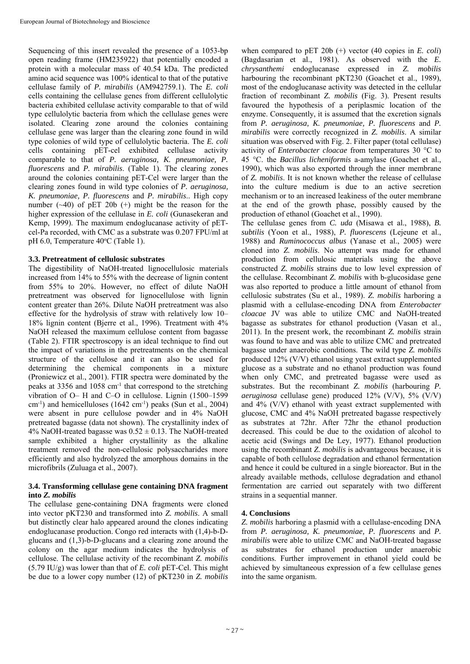Sequencing of this insert revealed the presence of a 1053-bp open reading frame (HM235922) that potentially encoded a protein with a molecular mass of 40.54 kDa. The predicted amino acid sequence was 100% identical to that of the putative cellulase family of *P. mirabilis* (AM942759.1). The *E. coli* cells containing the cellulase genes from different cellulolytic bacteria exhibited cellulase activity comparable to that of wild type cellulolytic bacteria from which the cellulase genes were isolated. Clearing zone around the colonies containing cellulase gene was larger than the clearing zone found in wild type colonies of wild type of cellulolytic bacteria. The *E. coli* cells containing pET-cel exhibited cellulase activity comparable to that of *P. aeruginosa, K. pneumoniae, P. fluorescens* and *P. mirabilis*. (Table 1). The clearing zones around the colonies containing pET-Cel were larger than the clearing zones found in wild type colonies of *P. aeruginosa, K. pneumoniae, P. fluorescens* and *P. mirabilis*.. High copy number  $(-40)$  of pET 20b  $(+)$  might be the reason for the higher expression of the cellulase in *E. coli* (Gunasekeran and Kemp, 1999). The maximum endoglucanase activity of pETcel-Pa recorded, with CMC as a substrate was 0.207 FPU/ml at pH 6.0, Temperature 40°C (Table 1).

## **3.3. Pretreatment of cellulosic substrates**

The digestibility of NaOH-treated lignocellulosic materials increased from 14% to 55% with the decrease of lignin content from 55% to 20%. However, no effect of dilute NaOH pretreatment was observed for lignocellulose with lignin content greater than 26%. Dilute NaOH pretreatment was also effective for the hydrolysis of straw with relatively low 10– 18% lignin content (Bjerre et al., 1996). Treatment with 4% NaOH released the maximum cellulose content from bagasse (Table 2). FTIR spectroscopy is an ideal technique to find out the impact of variations in the pretreatments on the chemical structure of the cellulose and it can also be used for determining the chemical components in a mixture (Proniewicz et al., 2001). FTIR spectra were dominated by the peaks at 3356 and 1058 cm-1 that correspond to the stretching vibration of O– H and C–O in cellulose. Lignin (1500–1599  $\text{cm}^{-1}$ ) and hemicelluloses (1642 cm<sup>-1</sup>) peaks (Sun et al., 2004) were absent in pure cellulose powder and in 4% NaOH pretreated bagasse (data not shown). The crystallinity index of 4% NaOH-treated bagasse was  $0.52 \pm 0.13$ . The NaOH-treated sample exhibited a higher crystallinity as the alkaline treatment removed the non-cellulosic polysaccharides more efficiently and also hydrolyzed the amorphous domains in the microfibrils (Zuluaga et al., 2007).

#### **3.4. Transforming cellulase gene containing DNA fragment into** *Z. mobilis*

The cellulase gene-containing DNA fragments were cloned into vector pKT230 and transformed into *Z. mobilis*. A small but distinctly clear halo appeared around the clones indicating endoglucanase production. Congo red interacts with (1,4)-b-Dglucans and (1,3)-b-D-glucans and a clearing zone around the colony on the agar medium indicates the hydrolysis of cellulose. The cellulase activity of the recombinant *Z. mobilis* (5.79 IU/g) was lower than that of *E. coli* pET-Cel. This might be due to a lower copy number (12) of pKT230 in *Z. mobilis*

when compared to pET 20b (+) vector (40 copies in *E. coli*) (Bagdasarian et al., 1981). As observed with the *E. chrysanthemi* endoglucanase expressed in *Z. mobilis* harbouring the recombinant pKT230 (Goachet et al., 1989), most of the endoglucanase activity was detected in the cellular fraction of recombinant *Z. mobilis* (Fig. 3). Present results favoured the hypothesis of a periplasmic location of the enzyme. Consequently, it is assumed that the excretion signals from *P. aeruginosa, K. pneumoniae, P. fluorescens* and *P. mirabilis* were correctly recognized in *Z. mobilis*. A similar situation was observed with Fig. 2. Filter paper (total cellulase) activity of *Enterobacter cloacae* from temperatures 30 °C to 45 °C. the *Bacillus licheniformis* a-amylase (Goachet et al., 1990), which was also exported through the inner membrane of *Z. mobilis*. It is not known whether the release of cellulase into the culture medium is due to an active secretion mechanism or to an increased leakiness of the outer membrane at the end of the growth phase, possibly caused by the production of ethanol (Goachet et al., 1990).

The cellulase genes from *C. uda* (Misawa et al., 1988), *B. subtilis* (Yoon et al., 1988), *P. fluorescens* (Lejeune et al., 1988) and *Ruminococcus albus* (Yanase et al., 2005) were cloned into *Z. mobilis*. No attempt was made for ethanol production from cellulosic materials using the above constructed *Z. mobilis* strains due to low level expression of the cellulase. Recombinant *Z. mobilis* with b-glucosidase gene was also reported to produce a little amount of ethanol from cellulosic substrates (Su et al., 1989). *Z. mobilis* harboring a plasmid with a cellulase-encoding DNA from *Enterobacter cloacae* JV was able to utilize CMC and NaOH-treated bagasse as substrates for ethanol production (Vasan et al., 2011). In the present work, the recombinant *Z. mobilis* strain was found to have and was able to utilize CMC and pretreated bagasse under anaerobic conditions. The wild type *Z. mobilis* produced 12% (V/V) ethanol using yeast extract supplemented glucose as a substrate and no ethanol production was found when only CMC, and pretreated bagasse were used as substrates. But the recombinant *Z. mobilis* (harbouring *P. aeruginosa* cellulase gene) produced 12% (V/V), 5% (V/V) and 4% (V/V) ethanol with yeast extract supplemented with glucose, CMC and 4% NaOH pretreated bagasse respectively as substrates at 72hr. After 72hr the ethanol production decreased. This could be due to the oxidation of alcohol to acetic acid (Swings and De Ley, 1977). Ethanol production using the recombinant *Z. mobilis* is advantageous because, it is capable of both cellulose degradation and ethanol fermentation and hence it could be cultured in a single bioreactor. But in the already available methods, cellulose degradation and ethanol fermentation are carried out separately with two different strains in a sequential manner.

## **4. Conclusions**

*Z. mobilis* harboring a plasmid with a cellulase-encoding DNA from *P. aeruginosa, K. pneumoniae, P. fluorescens* and *P. mirabilis* were able to utilize CMC and NaOH-treated bagasse as substrates for ethanol production under anaerobic conditions. Further improvement in ethanol yield could be achieved by simultaneous expression of a few cellulase genes into the same organism.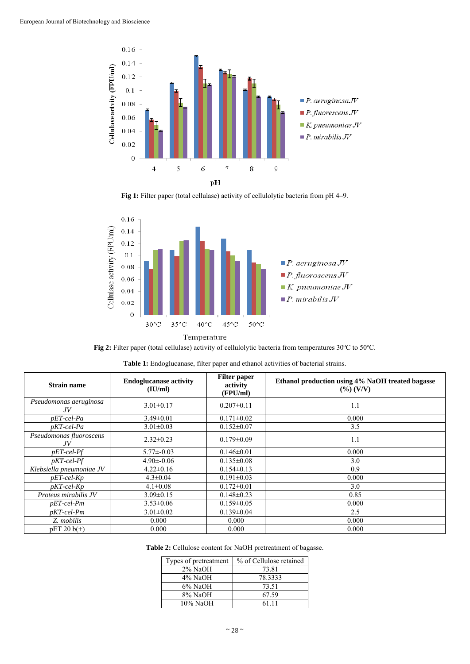

Fig 1: Filter paper (total cellulase) activity of cellulolytic bacteria from pH 4–9.



Temperature

Fig 2: Filter paper (total cellulase) activity of cellulolytic bacteria from temperatures 30°C to 50°C.

| <b>Strain name</b>            | <b>Endoglucanase activity</b><br>(IU/ml) | <b>Filter paper</b><br>activity<br>(FPU/ml) | Ethanol production using 4% NaOH treated bagasse<br>$(\frac{9}{6})$ (V/V) |
|-------------------------------|------------------------------------------|---------------------------------------------|---------------------------------------------------------------------------|
| Pseudomonas aeruginosa<br>JV  | $3.01 \pm 0.17$                          | $0.207 \pm 0.11$                            | 1.1                                                                       |
| $pET$ -cel-Pa                 | $3.49 \pm 0.01$                          | $0.171 \pm 0.02$                            | 0.000                                                                     |
| $pKT$ -cel-Pa                 | $3.01 \pm 0.03$                          | $0.152 \pm 0.07$                            | 3.5                                                                       |
| Pseudomonas fluoroscens<br>JV | $2.32 \pm 0.23$                          | $0.179 \pm 0.09$                            | 1.1                                                                       |
| $pET$ -cel- $Pf$              | $5.77\pm 0.03$                           | $0.146 \pm 0.01$                            | 0.000                                                                     |
| $pKT$ -cel- $Pf$              | $4.90\pm 0.06$                           | $0.135 \pm 0.08$                            | 3.0                                                                       |
| Klebsiella pneumoniae JV      | $4.22 \pm 0.16$                          | $0.154 \pm 0.13$                            | 0.9                                                                       |
| $pET$ -cel-Kp                 | $4.3 \pm 0.04$                           | $0.191 \pm 0.03$                            | 0.000                                                                     |
| $pKT$ -cel- $Kp$              | $4.1 \pm 0.08$                           | $0.172 \pm 0.01$                            | 3.0                                                                       |
| Proteus mirabilis JV          | $3.09 \pm 0.15$                          | $0.148 \pm 0.23$                            | 0.85                                                                      |
| $pET$ -cel-Pm                 | $3.53 \pm 0.06$                          | $0.159 \pm 0.05$                            | 0.000                                                                     |
| $pKT$ -cel-Pm                 | $3.01 \pm 0.02$                          | $0.139 \pm 0.04$                            | 2.5                                                                       |
| Z. mobilis                    | 0.000                                    | 0.000                                       | 0.000                                                                     |
| $pET 20 b(+)$                 | 0.000                                    | 0.000                                       | 0.000                                                                     |

|  |  | <b>Table 1:</b> Endoglucanase, filter paper and ethanol activities of bacterial strains. |
|--|--|------------------------------------------------------------------------------------------|
|  |  |                                                                                          |

**Table 2:** Cellulose content for NaOH pretreatment of bagasse.

| Types of pretreatment | % of Cellulose retained |  |  |
|-----------------------|-------------------------|--|--|
| $2\%$ NaOH            | 73.81                   |  |  |
| 4% NaOH               | 78.3333                 |  |  |
| $6\%$ NaOH            | 73.51                   |  |  |
| 8% NaOH               | 67.59                   |  |  |
| 10% NaOH              | 61 11                   |  |  |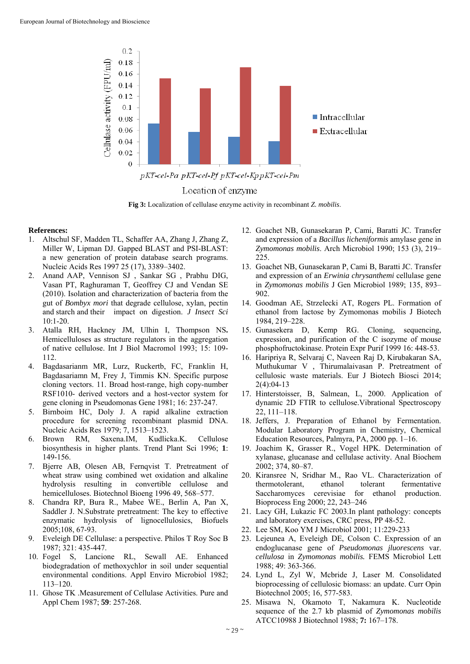

## Location of enzyme

**Fig 3:** Localization of cellulase enzyme activity in recombinant *Z. mobilis*.

#### **References:**

- 1. Altschul SF, Madden TL, Schaffer AA, Zhang J, Zhang Z, Miller W, Lipman DJ. Gapped BLAST and PSI-BLAST: a new generation of protein database search programs. Nucleic Acids Res 1997 25 (17), 3389–3402.
- 2. Anand AAP, Vennison SJ , Sankar SG , Prabhu DIG, Vasan PT, Raghuraman T, Geoffrey CJ and Vendan SE (2010). Isolation and characterization of bacteria from the gut of *Bombyx mori* that degrade cellulose, xylan, pectin and starch and their impact on digestion. *J Insect Sci*  10:1-20.
- 3. Atalla RH, Hackney JM, Ulhin I, Thompson NS**.** Hemicelluloses as structure regulators in the aggregation of native cellulose. Int J Biol Macromol 1993; 15: 109- 112.
- 4. Bagdasarianm MR, Lurz, Ruckertb, FC, Franklin H, Bagdasariamn M, Frey J, Timmis KN. Specific purpose cloning vectors. 11. Broad host-range, high copy-number RSF1010- derived vectors and a host-vector system for gene cloning in Pseudomonas Gene 1981; 16: 237-247.
- 5. Birnboim HC, Doly J. A rapid alkaline extraction procedure for screening recombinant plasmid DNA. Nucleic Acids Res 1979; 7, 1513–1523.
- 6. Brown RM, Saxena.IM, Kudlicka.K. Cellulose biosynthesis in higher plants. Trend Plant Sci 1996; **1**: 149-156.
- 7. Bjerre AB, Olesen AB, Fernqvist T. Pretreatment of wheat straw using combined wet oxidation and alkaline hydrolysis resulting in convertible cellulose and hemicelluloses. Biotechnol Bioeng 1996 49, 568–577.
- 8. Chandra RP, Bura R., Mabee WE., Berlin A, Pan X, Saddler J. N.Substrate pretreatment: The key to effective enzymatic hydrolysis of lignocellulosics, Biofuels 2005;108, 67-93.
- 9. Eveleigh DE Cellulase: a perspective. Philos T Roy Soc B 1987; 321: 435-447.
- 10. Fogel S, Lancione RL, Sewall AE. Enhanced biodegradation of methoxychlor in soil under sequential environmental conditions. Appl Enviro Microbiol 1982; 113–120.
- 11. Ghose TK .Measurement of Cellulase Activities. Pure and Appl Chem 1987; **59**: 257-268.
- 12. Goachet NB, Gunasekaran P, Cami, Baratti JC. Transfer and expression of a *Bacillus licheniformis* amylase gene in *Zymomonas mobilis*. Arch Microbiol 1990; 153 (3), 219– 225.
- 13. Goachet NB, Gunasekaran P, Cami B, Baratti JC. Transfer and expression of an *Erwinia chrysanthemi* cellulase gene in *Zymomonas mobilis* J Gen Microbiol 1989; 135, 893– 902.
- 14. Goodman AE, Strzelecki AT, Rogers PL. Formation of ethanol from lactose by Zymomonas mobilis J Biotech 1984, 219–228.
- 15. Gunasekera D, Kemp RG. Cloning, sequencing, expression, and purification of the C isozyme of mouse phosphofructokinase. Protein Expr Purif 1999 16: 448-53.
- 16. Haripriya R, Selvaraj C, Naveen Raj D, Kirubakaran SA, Muthukumar V , Thirumalaivasan P. Pretreatment of cellulosic waste materials. Eur J Biotech Biosci 2014; 2(4):04-13
- 17. Hinterstoisser, B, Salmean, L, 2000. Application of dynamic 2D FTIR to cellulose.Vibrational Spectroscopy 22, 111–118.
- 18. Jeffers, J. Preparation of Ethanol by Fermentation. Modular Laboratory Program in Chemistry, Chemical Education Resources, Palmyra, PA, 2000 pp. 1–16.
- 19. Joachim K, Grasser R., Vogel HPK. Determination of xylanase, glucanase and cellulase activity. Anal Biochem 2002; 374, 80–87.
- 20. Kiransree N, Sridhar M., Rao VL. Characterization of thermotolerant, ethanol tolerant fermentative Saccharomyces cerevisiae for ethanol production. Bioprocess Eng 2000; 22, 243–246
- 21. Lacy GH, Lukazic FC 2003.In plant pathology: concepts and laboratory exercises, CRC press, PP 48-52.
- 22. Lee SM, Koo YM J Microbiol 2001; 11:229-233
- 23. Lejeunea A, Eveleigh DE, Colson C. Expression of an endoglucanase gene of *Pseudomonas jluorescens* var. *cellulosa* in *Zymomonas mobilis.* FEMS Microbiol Lett 1988; 49: 363-366.
- 24. Lynd L, Zyl W, Mcbride J, Laser M. Consolidated bioprocessing of cellulosic biomass: an update. Curr Opin Biotechnol 2005; 16, 577-583.
- 25. Misawa N, Okamoto T, Nakamura K. Nucleotide sequence of the 2.7 kb plasmid of *Zymomonas mobilis* ATCC10988 J Biotechnol 1988; **7:** 167–178.